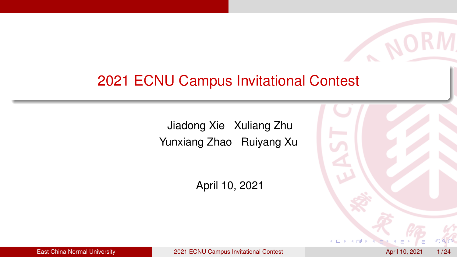### <span id="page-0-0"></span>2021 ECNU Campus Invitational Contest

Jiadong Xie Xuliang Zhu Yunxiang Zhao Ruiyang Xu

April 10, 2021



**NOI**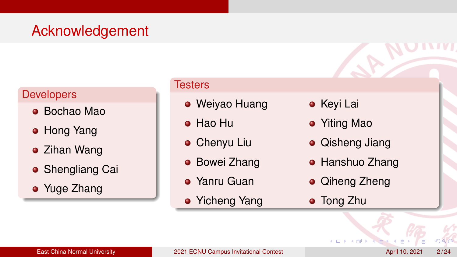# Acknowledgement

#### **Developers**

- Bochao Mao
- Hong Yang
- Zihan Wang
- **Shengliang Cai**
- Yuge Zhang

#### **Testers**

- Weiyao Huang
- Hao Hu
- **•** Chenyu Liu
- **Bowei Zhang**
- Yanru Guan
- Yicheng Yang
- **•** Keyi Lai
- Yiting Mao
- **•** Qisheng Jiang
- **Hanshuo Zhang**
- Qiheng Zheng
- **•** Tong Zhu

4 0 8

 $290$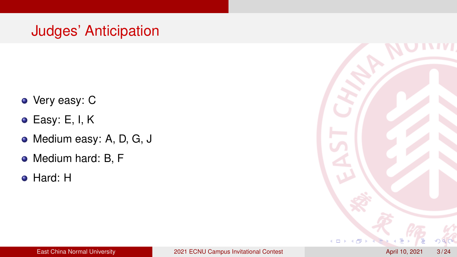# Judges' Anticipation

- Very easy: C
- $\bullet$  Easy: E, I, K
- Medium easy: A, D, G, J
- Medium hard: B, F
- Hard: H

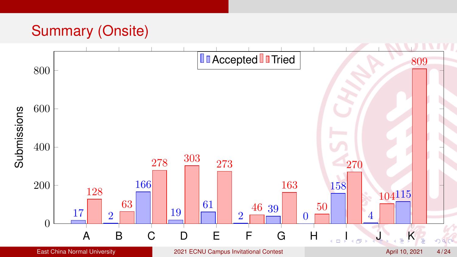# Summary (Onsite)

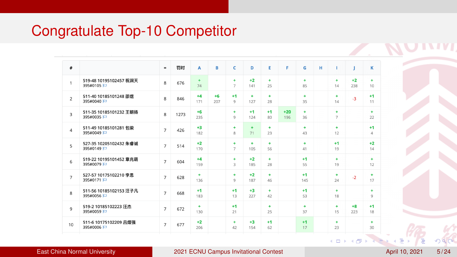### <span id="page-4-0"></span>Congratulate Top-10 Competitor

| #              |                                    | $\equiv$       | 罚时   | A           | B           | $\epsilon$           | D               | Е          | F.           | G           | H | т                          | J           | ĸ                      |
|----------------|------------------------------------|----------------|------|-------------|-------------|----------------------|-----------------|------------|--------------|-------------|---|----------------------------|-------------|------------------------|
| $\mathbf{1}$   | 519-48 10195102457 祝润天<br>395#0105 | $\mathbf{R}$   | 676  | ÷<br>74     |             | ÷<br>$\overline{7}$  | $+2$<br>141     | ÷<br>25    |              | ÷<br>85     |   | ٠<br>14                    | $+2$<br>238 | ٠<br>10                |
| $\mathfrak{p}$ | 511-40 10185101248 邵煜<br>395#0040  | 8              | 846  | $+4$<br>171 | $+6$<br>207 | $+1$<br>$\mathbf{Q}$ | $+$<br>127      | ÷.<br>28   |              | ÷.<br>35    |   | ÷<br>14                    | $-3$        | $+1$<br>11             |
| $\overline{3}$ | 511-35 10185101232 王朝杨<br>395#0035 | 8              | 1273 | $+6$<br>235 |             | ÷.<br>9              | $+1$<br>124     | $+1$<br>80 | $+20$<br>196 | ÷.<br>36    |   | $\Phi$<br>$\overline{7}$   |             | ÷<br>22                |
| $\overline{4}$ | 511-49 10185101281 包梁<br>395#0049  | $\overline{7}$ | 426  | $+3$<br>182 |             | ÷<br>8               | $\ddot{}$<br>71 | ÷<br>23    |              | ÷<br>43     |   | $\ddot{\phantom{1}}$<br>12 |             | $+1$<br>$\overline{4}$ |
| 5              | 527-35 10205102432 朱睿诚<br>395#0149 | $\overline{7}$ | 514  | $+2$<br>170 |             | ÷<br>$\overline{7}$  | ÷<br>105        | ÷<br>56    |              | ÷<br>41     |   | $+1$<br>19                 |             | $+2$<br>14             |
| 6              | 519-22 10195101452 章兆萌<br>395#0079 | $\overline{7}$ | 604  | $+4$<br>159 |             | ÷.<br>$\mathbf{R}$   | $+2$<br>185     | ÷.<br>28   |              | $+1$<br>55  |   | ÷<br>19                    |             | ÷.<br>12               |
| $\overline{7}$ | 527-57 10175102210 李思<br>395#0171  | $\overline{7}$ | 628  | ÷.<br>136   |             | ÷<br>9               | $+2$<br>187     | ÷.<br>46   |              | $+1$<br>145 |   | $\ddot{\phantom{1}}$<br>24 | $-2$        | ÷<br>17                |
| 8              | 511-56 10185102153 汪子凡<br>395#0056 | $\overline{7}$ | 668  | $+1$<br>183 |             | $+1$<br>13           | $+3$<br>227     | ÷<br>42    |              | $+1$<br>53  |   | $\ddot{\phantom{1}}$<br>18 |             | ÷<br>9                 |
| $\mathbf{q}$   | 519-2 10185102223 汪杰<br>395#0059   | $\overline{7}$ | 672  | ٠<br>130    |             | $+1$<br>21           |                 | ٠<br>25    |              | ÷<br>37     |   | ٠<br>15                    | $+8$<br>223 | $+1$<br>18             |
| 10             | 511-6 10175102209 吕熠强<br>395#0006  | $\overline{7}$ | 677  | $+2$<br>206 |             | ÷.<br>42             | $+3$<br>154     | $+1$<br>62 |              | $+1$<br>17  |   | $\ddot{\phantom{1}}$<br>23 |             | ÷<br>30 <sub>o</sub>   |
|                |                                    |                |      |             |             |                      |                 |            |              |             |   |                            |             |                        |

 $\alpha$ 

**Kロト (型) (**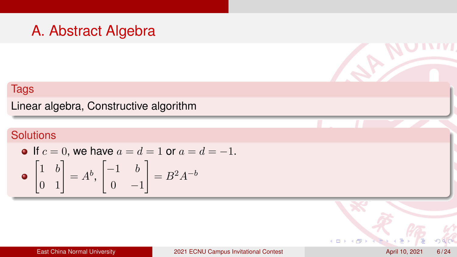### A. Abstract Algebra

### Tags

Linear algebra, Constructive algorithm

### **Solutions**

• If 
$$
c = 0
$$
, we have  $a = d = 1$  or  $a = d = -1$ .  
\n•  $\begin{bmatrix} 1 & b \\ 0 & 1 \end{bmatrix} = A^b$ ,  $\begin{bmatrix} -1 & b \\ 0 & -1 \end{bmatrix} = B^2 A^{-b}$ 

 $290$ 

 $\mathcal{L}$ 

 $\triangleright$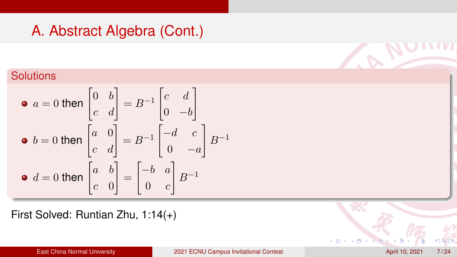# A. Abstract Algebra (Cont.)

### **Solutions**

• 
$$
a = 0
$$
 then  $\begin{bmatrix} 0 & b \\ c & d \end{bmatrix} = B^{-1} \begin{bmatrix} c & d \\ 0 & -b \end{bmatrix}$   
\n•  $b = 0$  then  $\begin{bmatrix} a & 0 \\ c & d \end{bmatrix} = B^{-1} \begin{bmatrix} -d & c \\ 0 & -a \end{bmatrix} B^{-1}$   
\n•  $d = 0$  then  $\begin{bmatrix} a & b \\ c & 0 \end{bmatrix} = \begin{bmatrix} -b & a \\ 0 & c \end{bmatrix} B^{-1}$ 

First Solved: Runtian Zhu, 1:14(+)

 $\leftarrow$ 

 $290$ 

W.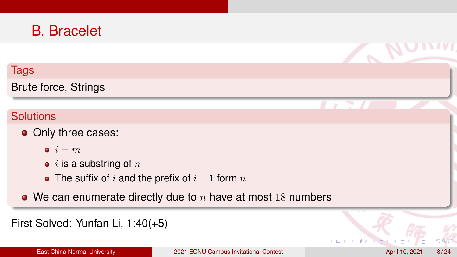### B. Bracelet

#### Tags

Brute force, Strings

### **Solutions**

- Only three cases:
	- $i = m$
	- $\bullet$  *i* is a substring of n
	- The suffix of i and the prefix of  $i + 1$  form n
- We can enumerate directly due to  $n$  have at most 18 numbers

```
First Solved: Yunfan Li, 1:40(+5)
```
 $290$ 

**NO** 

 $\mathbb{Z}$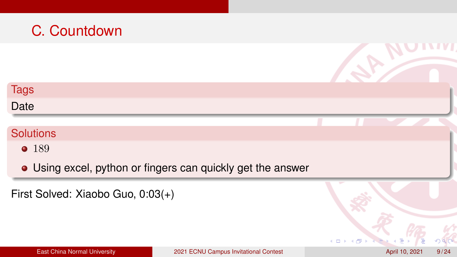# C. Countdown Tags Date **Solutions** • 189 Using excel, python or fingers can quickly get the answer First Solved: Xiaobo Guo, 0:03(+)  $290$  $\leftarrow$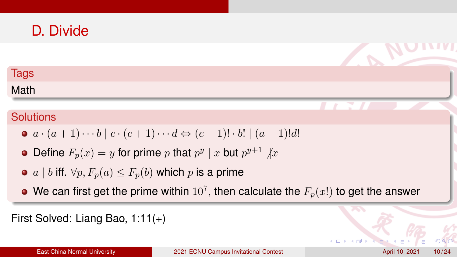### D. Divide

### **Tags**

Math

### **Solutions**

- $\bullet$   $a \cdot (a+1) \cdots b \mid c \cdot (c+1) \cdots d \Leftrightarrow (c-1)! \cdot b! \mid (a-1)!d!$
- Define  $F_p(x)=y$  for prime  $p$  that  $p^y\mid x$  but  $p^{y+1}\not| x$
- a | b iff.  $\forall p, F_p(a) \leq F_p(b)$  which p is a prime
- We can first get the prime within  $10^7,$  then calculate the  $F_p(x!)$  to get the answer

```
First Solved: Liang Bao, 1:11(+)
```
 $4.171$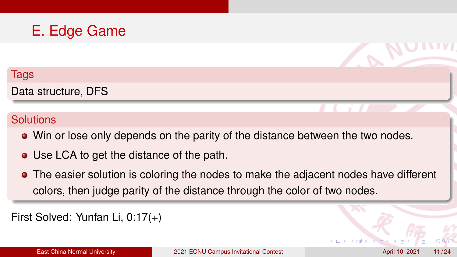# E. Edge Game

#### Tags

Data structure, DFS

#### **Solutions**

- Win or lose only depends on the parity of the distance between the two nodes.
- Use LCA to get the distance of the path.
- The easier solution is coloring the nodes to make the adjacent nodes have different colors, then judge parity of the distance through the color of two nodes.

First Solved: Yunfan Li, 0:17(+)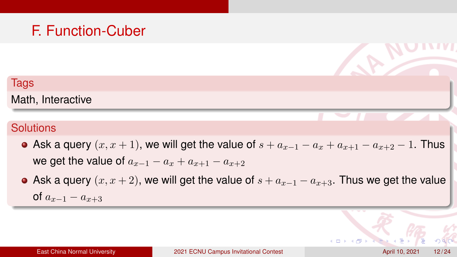# F. Function-Cuber

### **Tags** Math, Interactive

- Ask a query  $(x, x + 1)$ , we will get the value of  $s + a_{x-1} a_x + a_{x+1} a_{x+2} 1$ . Thus we get the value of  $a_{x-1} - a_x + a_{x+1} - a_{x+2}$
- Ask a query  $(x, x + 2)$ , we will get the value of  $s + a_{x-1} a_{x+3}$ . Thus we get the value of  $a_{x-1} - a_{x+3}$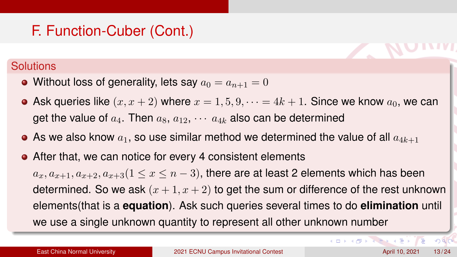# F. Function-Cuber (Cont.)

#### **Solutions**

- Without loss of generality, lets say  $a_0 = a_{n+1} = 0$
- Ask queries like  $(x, x + 2)$  where  $x = 1, 5, 9, \dots = 4k + 1$ . Since we know  $a_0$ , we can get the value of  $a_4$ . Then  $a_8$ ,  $a_{12}$ ,  $\cdots$   $a_{4k}$  also can be determined
- As we also know  $a_1$ , so use similar method we determined the value of all  $a_{4k+1}$
- After that, we can notice for every 4 consistent elements

 $a_x, a_{x+1}, a_{x+2}, a_{x+3}$  ( $1 \le x \le n-3$ ), there are at least 2 elements which has been determined. So we ask  $(x + 1, x + 2)$  to get the sum or difference of the rest unknown elements(that is a **equation**). Ask such queries several times to do **elimination** until we use a single unknown quantity to represent all other unknown number

 $2990$ 

イロトイ団トイランス語 トッ語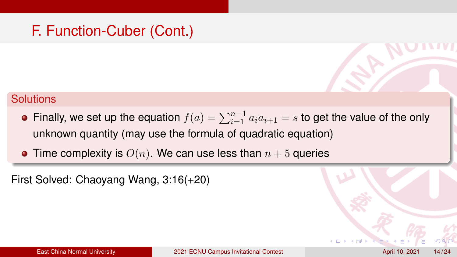## F. Function-Cuber (Cont.)

#### **Solutions**

- Finally, we set up the equation  $f(a) = \sum_{i=1}^{n-1} a_i a_{i+1} = s$  to get the value of the only unknown quantity (may use the formula of quadratic equation)
- Time complexity is  $O(n)$ . We can use less than  $n + 5$  queries

First Solved: Chaoyang Wang, 3:16(+20)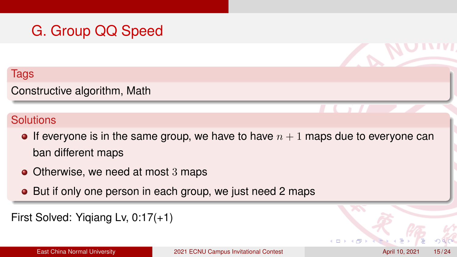# G. Group QQ Speed

#### **Tags**

### Constructive algorithm, Math

- If everyone is in the same group, we have to have  $n + 1$  maps due to everyone can ban different maps
- Otherwise, we need at most 3 maps
- But if only one person in each group, we just need 2 maps

```
First Solved: Yiqiang Lv, 0:17(+1)
```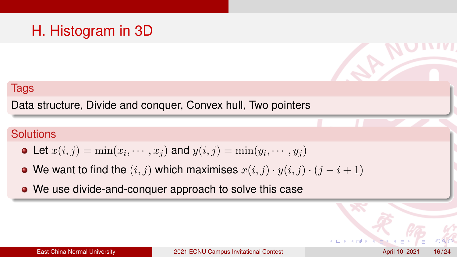# H. Histogram in 3D

#### Tags

Data structure, Divide and conquer, Convex hull, Two pointers

- Let  $x(i, j) = \min(x_i, \cdots, x_j)$  and  $y(i, j) = \min(y_i, \cdots, y_j)$
- We want to find the  $(i, j)$  which maximises  $x(i, j) \cdot y(i, j) \cdot (j i + 1)$
- We use divide-and-conquer approach to solve this case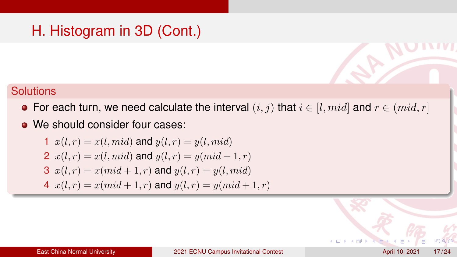#### **Solutions**

- For each turn, we need calculate the interval  $(i, j)$  that  $i \in [l, mid]$  and  $r \in (mid, r]$
- We should consider four cases:

1 
$$
x(l,r) = x(l, mid)
$$
 and  $y(l,r) = y(l, mid)$   
\n2  $x(l,r) = x(l, mid)$  and  $y(l,r) = y(mid + 1, r)$   
\n3  $x(l,r) = x(mid + 1, r)$  and  $y(l,r) = y(l, mid)$   
\n4  $x(l,r) = x(mid + 1, r)$  and  $y(l,r) = y(mid + 1, r)$ 

 $4.17$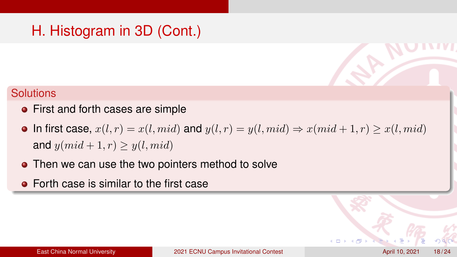- First and forth cases are simple
- In first case,  $x(l, r) = x(l, mid)$  and  $y(l, r) = y(l, mid) \Rightarrow x(md + 1, r) \ge x(l, mid)$ and  $y(md + 1, r) > y(l, mid)$
- Then we can use the two pointers method to solve
- **•** Forth case is similar to the first case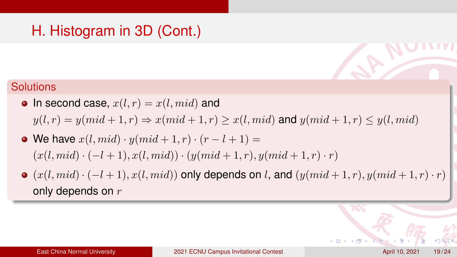- In second case,  $x(l, r) = x(l, mid)$  and  $y(l, r) = y(mid + 1, r) \Rightarrow x(mid + 1, r) \geq x(l, mid)$  and  $y(mid + 1, r) \leq y(l, mid)$
- We have  $x(l, mid) \cdot y(md + 1, r) \cdot (r l + 1) =$  $(x(l, mid) \cdot (-l + 1), x(l, mid)) \cdot (y(md + 1, r), y(md + 1, r) \cdot r)$
- $\bullet$  (x(l, mid) · (-l+1), x(l, mid)) only depends on l, and (y(mid + 1, r), y(mid + 1, r) · r) only depends on  $r$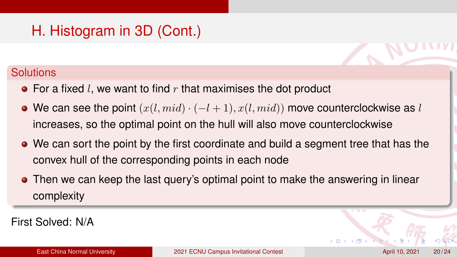### **Solutions**

- $\bullet$  For a fixed l, we want to find r that maximises the dot product
- We can see the point  $(x(l, mid) \cdot (-l + 1), x(l, mid))$  move counterclockwise as l increases, so the optimal point on the hull will also move counterclockwise
- We can sort the point by the first coordinate and build a segment tree that has the convex hull of the corresponding points in each node
- Then we can keep the last query's optimal point to make the answering in linear complexity

First Solved: N/A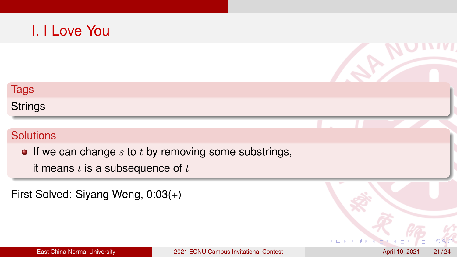### I. I Love You

# Tags **Strings Solutions**  $\bullet$  If we can change s to t by removing some substrings, it means  $t$  is a subsequence of  $t$

First Solved: Siyang Weng, 0:03(+)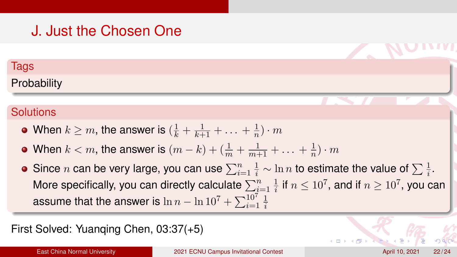# J. Just the Chosen One

#### **Tags**

### **Probability**

### **Solutions**

- When  $k\geq m,$  the answer is  $(\frac{1}{k}+\frac{1}{k+1}+\ldots+\frac{1}{n})$  $\frac{1}{n}) \cdot m$
- When  $k < m$ , the answer is  $(m-k) + (\frac{1}{m} + \frac{1}{m+1} + \ldots + \frac{1}{n})$  $\frac{1}{n}) \cdot m$
- Since  $n$  can be very large, you can use  $\sum_{i=1}^n\frac{1}{i}\sim \ln n$  to estimate the value of  $\sum \frac{1}{i}.$ More specifically, you can directly calculate  $\sum_{i=1}^n \frac{1}{i}$  $\frac{1}{i}$  if  $n \leq 10^7$ , and if  $n \geq 10^7$ , you can assume that the answer is  $\ln n - \ln 10^7 + \sum_{i=1}^{10^7} \frac{1}{i}$ i

### First Solved: Yuanqing Chen, 03:37(+5)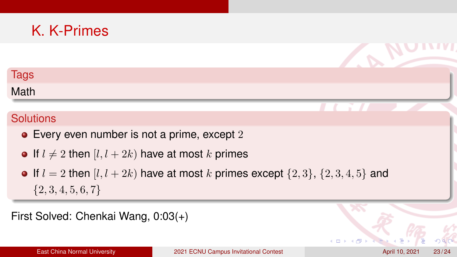# K. K-Primes

### **Tags**

Math

### **Solutions**

- Every even number is not a prime, except 2
- If  $l \neq 2$  then  $[l, l + 2k)$  have at most k primes
- If  $l = 2$  then  $[l, l + 2k)$  have at most k primes except  $\{2, 3\}, \{2, 3, 4, 5\}$  and  $\{2, 3, 4, 5, 6, 7\}$

First Solved: Chenkai Wang, 0:03(+)